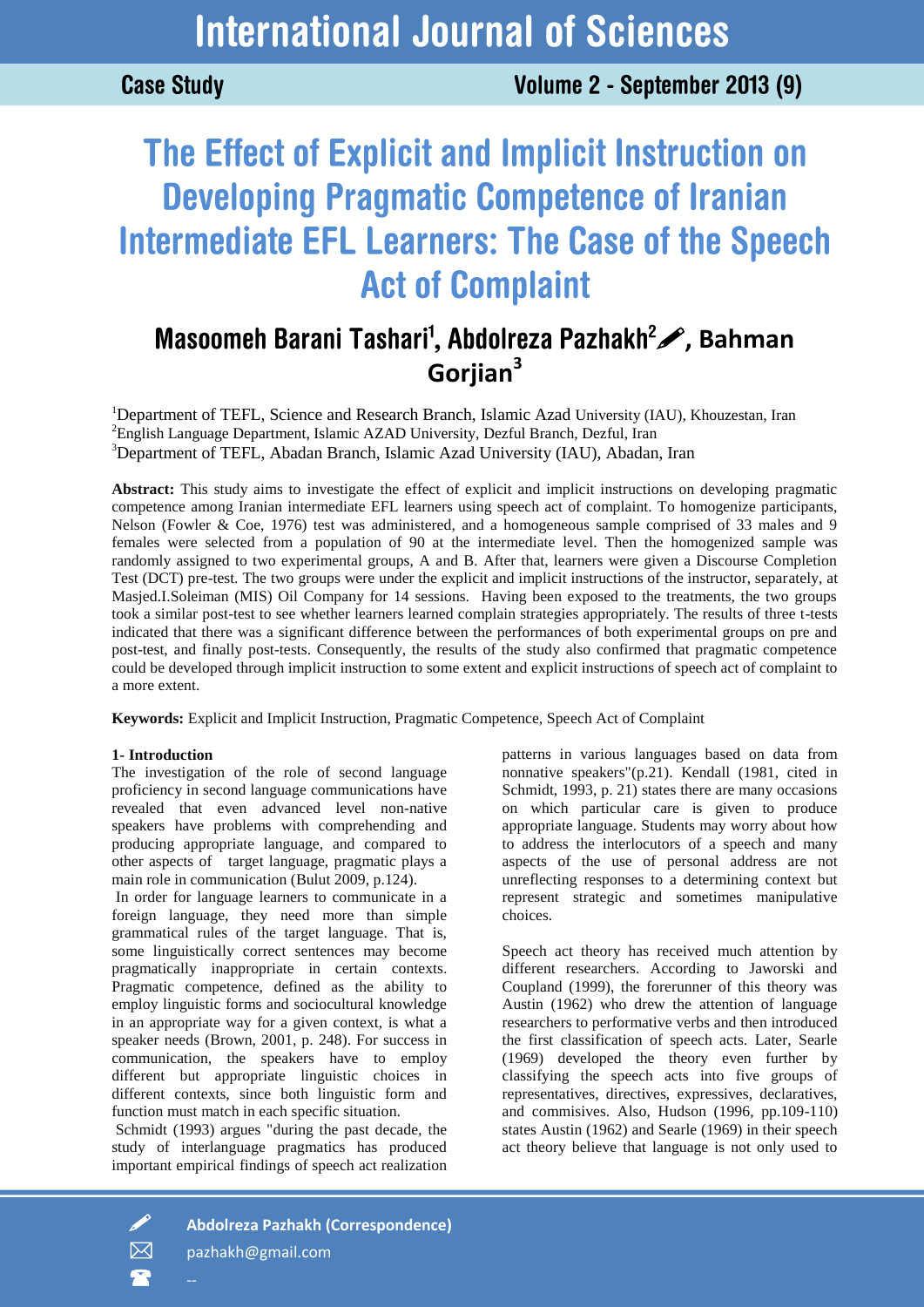**Case Study** 

# The Effect of Explicit and Implicit Instruction on **Developing Pragmatic Competence of Iranian Intermediate EFL Learners: The Case of the Speech Act of Complaint**

# Masoomeh Barani Tashari<sup>1</sup>, Abdolreza Pazhakh<sup>2</sup> , Bahman **Gorjian<sup>3</sup>**

<sup>1</sup>Department of TEFL, Science and Research Branch, Islamic Azad University (IAU), Khouzestan, Iran <sup>2</sup>English Language Department, Islamic AZAD University, Dezful Branch, Dezful, Iran <sup>3</sup>Department of TEFL, Abadan Branch, Islamic Azad University (IAU), Abadan, Iran

**Abstract:** This study aims to investigate the effect of explicit and implicit instructions on developing pragmatic competence among Iranian intermediate EFL learners using speech act of complaint. To homogenize participants, Nelson (Fowler & Coe, 1976) test was administered, and a homogeneous sample comprised of 33 males and 9 females were selected from a population of 90 at the intermediate level. Then the homogenized sample was randomly assigned to two experimental groups, A and B. After that, learners were given a Discourse Completion Test (DCT) pre-test. The two groups were under the explicit and implicit instructions of the instructor, separately, at Masjed.I.Soleiman (MIS) Oil Company for 14 sessions. Having been exposed to the treatments, the two groups took a similar post-test to see whether learners learned complain strategies appropriately. The results of three t-tests indicated that there was a significant difference between the performances of both experimental groups on pre and post-test, and finally post-tests. Consequently, the results of the study also confirmed that pragmatic competence could be developed through implicit instruction to some extent and explicit instructions of speech act of complaint to a more extent.

**Keywords:** Explicit and Implicit Instruction, Pragmatic Competence, Speech Act of Complaint

# **1- Introduction**

The investigation of the role of second language proficiency in second language communications have revealed that even advanced level non-native speakers have problems with comprehending and producing appropriate language, and compared to other aspects of target language, pragmatic plays a main role in communication (Bulut 2009, p.124).

In order for language learners to communicate in a foreign language, they need more than simple grammatical rules of the target language. That is, some linguistically correct sentences may become pragmatically inappropriate in certain contexts. Pragmatic competence, defined as the ability to employ linguistic forms and sociocultural knowledge in an appropriate way for a given context, is what a speaker needs (Brown, 2001, p. 248). For success in communication, the speakers have to employ different but appropriate linguistic choices in different contexts, since both linguistic form and function must match in each specific situation.

Schmidt (1993) argues "during the past decade, the study of interlanguage pragmatics has produced important empirical findings of speech act realization patterns in various languages based on data from nonnative speakers"(p.21). Kendall (1981, cited in Schmidt, 1993, p. 21) states there are many occasions on which particular care is given to produce appropriate language. Students may worry about how to address the interlocutors of a speech and many aspects of the use of personal address are not unreflecting responses to a determining context but represent strategic and sometimes manipulative choices.

Speech act theory has received much attention by different researchers. According to Jaworski and Coupland (1999), the forerunner of this theory was Austin (1962) who drew the attention of language researchers to performative verbs and then introduced the first classification of speech acts. Later, Searle (1969) developed the theory even further by classifying the speech acts into five groups of representatives, directives, expressives, declaratives, and commisives. Also, Hudson (1996, pp.109-110) states Austin (1962) and Searle (1969) in their speech act theory believe that language is not only used to

 $\overline{\mathbf{r}}$ 

**Abdolreza Pazhakh (Correspondence)**

 $\boxtimes$  pazhakh@gmail.com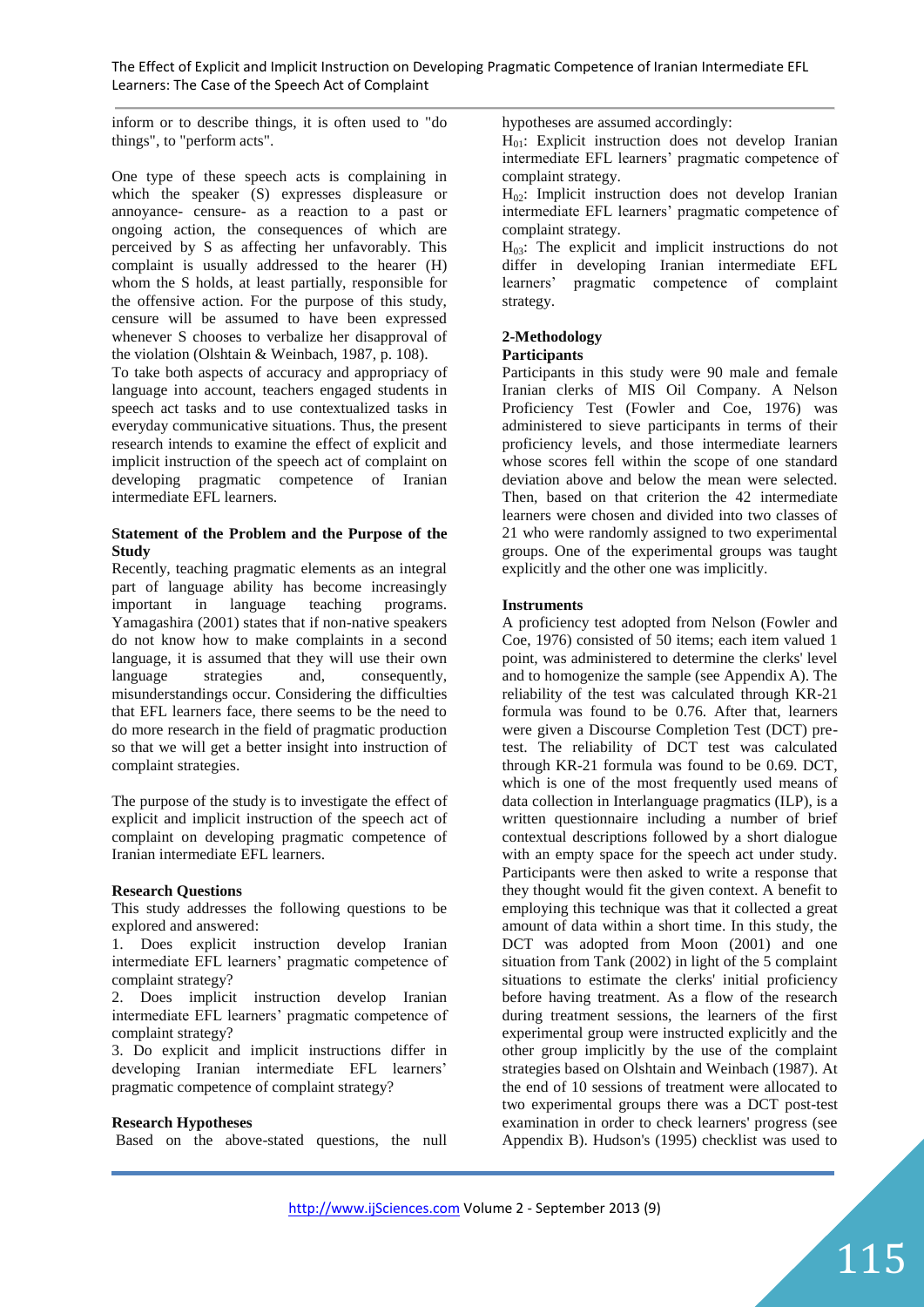inform or to describe things, it is often used to "do things", to "perform acts".

One type of these speech acts is complaining in which the speaker (S) expresses displeasure or annoyance- censure- as a reaction to a past or ongoing action, the consequences of which are perceived by S as affecting her unfavorably. This complaint is usually addressed to the hearer (H) whom the S holds, at least partially, responsible for the offensive action. For the purpose of this study, censure will be assumed to have been expressed whenever S chooses to verbalize her disapproval of the violation (Olshtain & Weinbach, 1987, p. 108).

To take both aspects of accuracy and appropriacy of language into account, teachers engaged students in speech act tasks and to use contextualized tasks in everyday communicative situations. Thus, the present research intends to examine the effect of explicit and implicit instruction of the speech act of complaint on developing pragmatic competence of Iranian intermediate EFL learners.

# **Statement of the Problem and the Purpose of the Study**

Recently, teaching pragmatic elements as an integral part of language ability has become increasingly important in language teaching programs. Yamagashira (2001) states that if non-native speakers do not know how to make complaints in a second language, it is assumed that they will use their own language strategies and, consequently, misunderstandings occur. Considering the difficulties that EFL learners face, there seems to be the need to do more research in the field of pragmatic production so that we will get a better insight into instruction of complaint strategies.

The purpose of the study is to investigate the effect of explicit and implicit instruction of the speech act of complaint on developing pragmatic competence of Iranian intermediate EFL learners.

#### **Research Questions**

This study addresses the following questions to be explored and answered:

1. Does explicit instruction develop Iranian intermediate EFL learners' pragmatic competence of complaint strategy?

2. Does implicit instruction develop Iranian intermediate EFL learners' pragmatic competence of complaint strategy?

3. Do explicit and implicit instructions differ in developing Iranian intermediate EFL learners' pragmatic competence of complaint strategy?

#### **Research Hypotheses**

Based on the above-stated questions, the null

hypotheses are assumed accordingly:

 $H<sub>01</sub>$ : Explicit instruction does not develop Iranian intermediate EFL learners' pragmatic competence of complaint strategy.

H02: Implicit instruction does not develop Iranian intermediate EFL learners' pragmatic competence of complaint strategy.

 $H<sub>03</sub>$ : The explicit and implicit instructions do not differ in developing Iranian intermediate EFL learners' pragmatic competence of complaint strategy.

# **2-Methodology**

#### **Participants**

Participants in this study were 90 male and female Iranian clerks of MIS Oil Company. A Nelson Proficiency Test (Fowler and Coe, 1976) was administered to sieve participants in terms of their proficiency levels, and those intermediate learners whose scores fell within the scope of one standard deviation above and below the mean were selected. Then, based on that criterion the 42 intermediate learners were chosen and divided into two classes of 21 who were randomly assigned to two experimental groups. One of the experimental groups was taught explicitly and the other one was implicitly.

#### **Instruments**

A proficiency test adopted from Nelson (Fowler and Coe, 1976) consisted of 50 items; each item valued 1 point, was administered to determine the clerks' level and to homogenize the sample (see Appendix A). The reliability of the test was calculated through KR-21 formula was found to be 0.76. After that, learners were given a Discourse Completion Test (DCT) pretest. The reliability of DCT test was calculated through KR-21 formula was found to be 0.69. DCT, which is one of the most frequently used means of data collection in Interlanguage pragmatics (ILP), is a written questionnaire including a number of brief contextual descriptions followed by a short dialogue with an empty space for the speech act under study. Participants were then asked to write a response that they thought would fit the given context. A benefit to employing this technique was that it collected a great amount of data within a short time. In this study, the DCT was adopted from Moon (2001) and one situation from Tank (2002) in light of the 5 complaint situations to estimate the clerks' initial proficiency before having treatment. As a flow of the research during treatment sessions, the learners of the first experimental group were instructed explicitly and the other group implicitly by the use of the complaint strategies based on Olshtain and Weinbach (1987). At the end of 10 sessions of treatment were allocated to two experimental groups there was a DCT post-test examination in order to check learners' progress (see Appendix B). Hudson's (1995) checklist was used to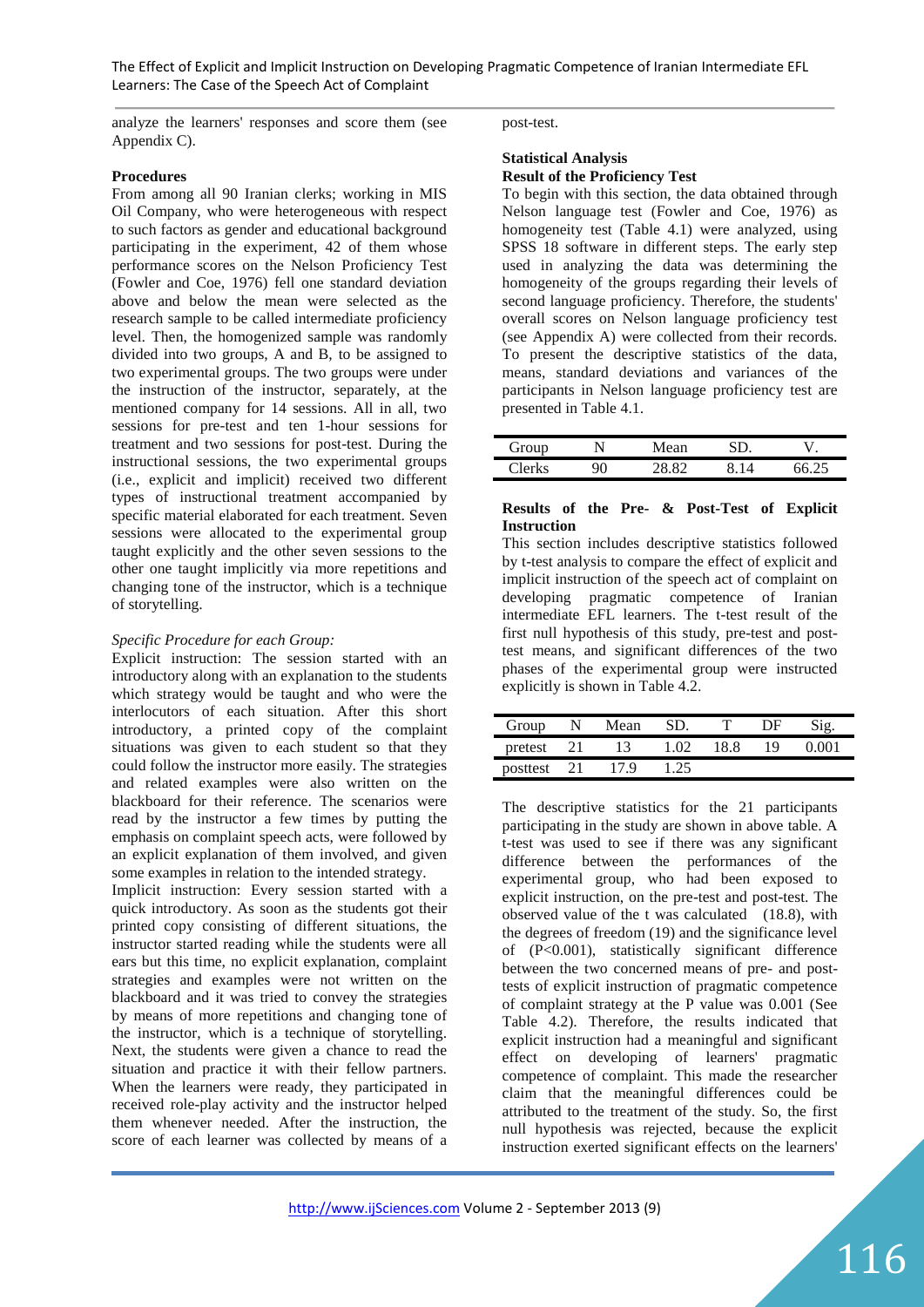analyze the learners' responses and score them (see Appendix C).

# **Procedures**

From among all 90 Iranian clerks; working in MIS Oil Company, who were heterogeneous with respect to such factors as gender and educational background participating in the experiment, 42 of them whose performance scores on the Nelson Proficiency Test (Fowler and Coe, 1976) fell one standard deviation above and below the mean were selected as the research sample to be called intermediate proficiency level. Then, the homogenized sample was randomly divided into two groups, A and B, to be assigned to two experimental groups. The two groups were under the instruction of the instructor, separately, at the mentioned company for 14 sessions. All in all, two sessions for pre-test and ten 1-hour sessions for treatment and two sessions for post-test. During the instructional sessions, the two experimental groups (i.e., explicit and implicit) received two different types of instructional treatment accompanied by specific material elaborated for each treatment. Seven sessions were allocated to the experimental group taught explicitly and the other seven sessions to the other one taught implicitly via more repetitions and changing tone of the instructor, which is a technique of storytelling.

#### *Specific Procedure for each Group:*

Explicit instruction: The session started with an introductory along with an explanation to the students which strategy would be taught and who were the interlocutors of each situation. After this short introductory, a printed copy of the complaint situations was given to each student so that they could follow the instructor more easily. The strategies and related examples were also written on the blackboard for their reference. The scenarios were read by the instructor a few times by putting the emphasis on complaint speech acts, were followed by an explicit explanation of them involved, and given some examples in relation to the intended strategy.

Implicit instruction: Every session started with a quick introductory. As soon as the students got their printed copy consisting of different situations, the instructor started reading while the students were all ears but this time, no explicit explanation, complaint strategies and examples were not written on the blackboard and it was tried to convey the strategies by means of more repetitions and changing tone of the instructor, which is a technique of storytelling. Next, the students were given a chance to read the situation and practice it with their fellow partners. When the learners were ready, they participated in received role-play activity and the instructor helped them whenever needed. After the instruction, the score of each learner was collected by means of a post-test.

#### **Statistical Analysis Result of the Proficiency Test**

To begin with this section, the data obtained through Nelson language test (Fowler and Coe, 1976) as homogeneity test (Table 4.1) were analyzed, using SPSS 18 software in different steps. The early step used in analyzing the data was determining the homogeneity of the groups regarding their levels of second language proficiency. Therefore, the students' overall scores on Nelson language proficiency test (see Appendix A) were collected from their records. To present the descriptive statistics of the data, means, standard deviations and variances of the participants in Nelson language proficiency test are presented in Table 4.1.

| $G_{\rm r\alpha\mu\sigma}$<br>$\sim$                      |   | lean    | ٠ |
|-----------------------------------------------------------|---|---------|---|
| $^{\sim}$ lar $^{\rm l}$<br>$\overline{r}$ $\overline{r}$ | J | $\circ$ |   |

#### **Results of the Pre- & Post-Test of Explicit Instruction**

This section includes descriptive statistics followed by t-test analysis to compare the effect of explicit and implicit instruction of the speech act of complaint on developing pragmatic competence of Iranian intermediate EFL learners. The t-test result of the first null hypothesis of this study, pre-test and posttest means, and significant differences of the two phases of the experimental group were instructed explicitly is shown in Table 4.2.

| Group    |      | Mean |      |      | ∖⊢ا |  |
|----------|------|------|------|------|-----|--|
| pretest  |      | 13   |      | 18 8 | 1 Q |  |
| posttest | - 21 | 17.9 | 1.25 |      |     |  |

The descriptive statistics for the 21 participants participating in the study are shown in above table. A t-test was used to see if there was any significant difference between the performances of the experimental group, who had been exposed to explicit instruction, on the pre-test and post-test. The observed value of the t was calculated (18.8), with the degrees of freedom (19) and the significance level of (P<0.001), statistically significant difference between the two concerned means of pre- and posttests of explicit instruction of pragmatic competence of complaint strategy at the P value was 0.001 (See Table 4.2). Therefore, the results indicated that explicit instruction had a meaningful and significant effect on developing of learners' pragmatic competence of complaint. This made the researcher claim that the meaningful differences could be attributed to the treatment of the study. So, the first null hypothesis was rejected, because the explicit instruction exerted significant effects on the learners'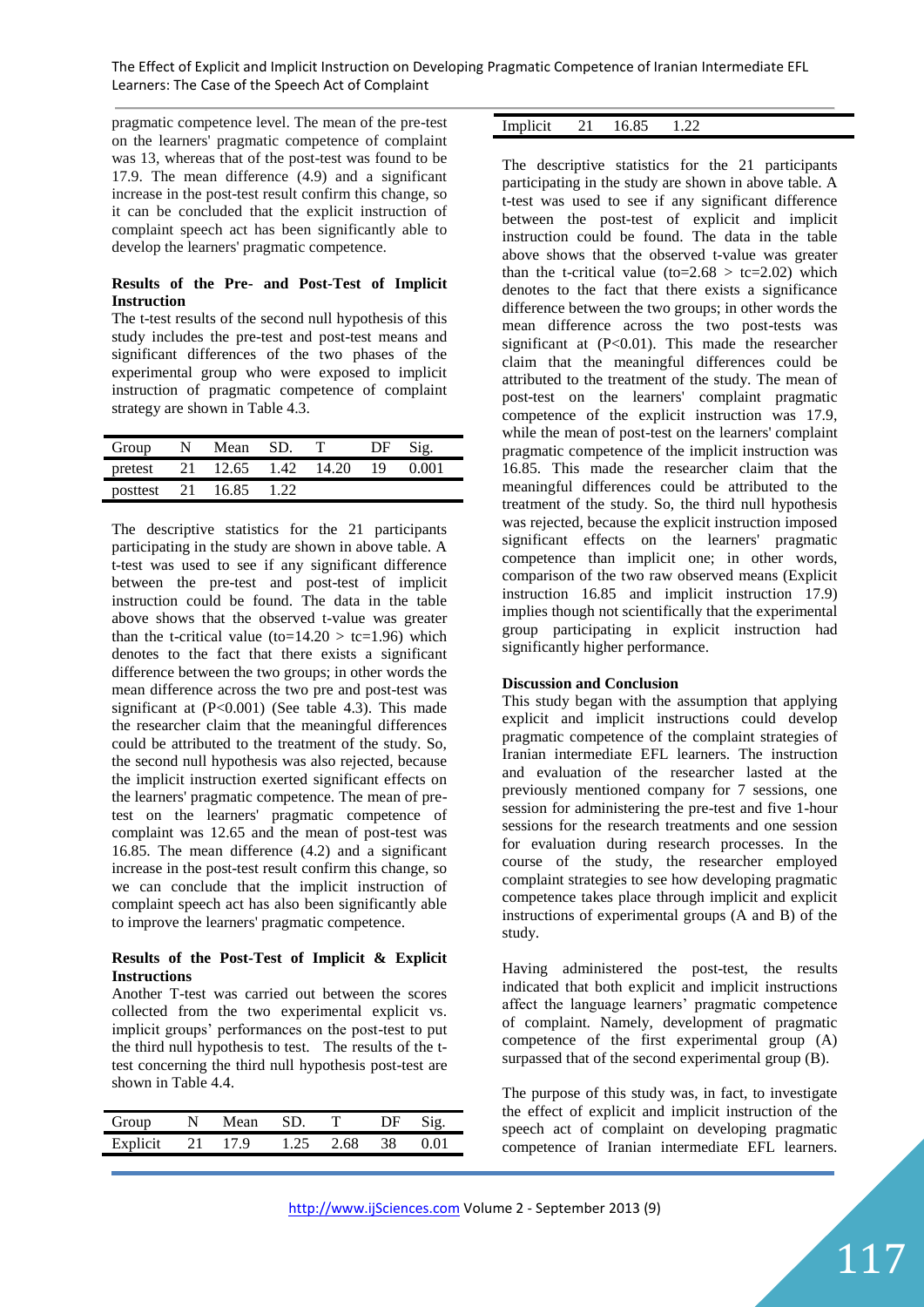pragmatic competence level. The mean of the pre-test on the learners' pragmatic competence of complaint was 13, whereas that of the post-test was found to be 17.9. The mean difference (4.9) and a significant increase in the post-test result confirm this change, so it can be concluded that the explicit instruction of complaint speech act has been significantly able to develop the learners' pragmatic competence.

# **Results of the Pre- and Post-Test of Implicit Instruction**

The t-test results of the second null hypothesis of this study includes the pre-test and post-test means and significant differences of the two phases of the experimental group who were exposed to implicit instruction of pragmatic competence of complaint strategy are shown in Table 4.3.

| Group       | N. | Mean       | -SD. |       | DF | Sig.  |
|-------------|----|------------|------|-------|----|-------|
| pretest     | 21 | 12.65 1.42 |      | 14.20 | 19 | 0.001 |
| posttest 21 |    | 16.85      | 1.22 |       |    |       |

The descriptive statistics for the 21 participants participating in the study are shown in above table. A t-test was used to see if any significant difference between the pre-test and post-test of implicit instruction could be found. The data in the table above shows that the observed t-value was greater than the t-critical value (to=14.20  $>$  tc=1.96) which denotes to the fact that there exists a significant difference between the two groups; in other words the mean difference across the two pre and post-test was significant at  $(P<0.001)$  (See table 4.3). This made the researcher claim that the meaningful differences could be attributed to the treatment of the study. So, the second null hypothesis was also rejected, because the implicit instruction exerted significant effects on the learners' pragmatic competence. The mean of pretest on the learners' pragmatic competence of complaint was 12.65 and the mean of post-test was 16.85. The mean difference (4.2) and a significant increase in the post-test result confirm this change, so we can conclude that the implicit instruction of complaint speech act has also been significantly able to improve the learners' pragmatic competence.

# **Results of the Post-Test of Implicit & Explicit Instructions**

Another T-test was carried out between the scores collected from the two experimental explicit vs. implicit groups' performances on the post-test to put the third null hypothesis to test. The results of the ttest concerning the third null hypothesis post-test are shown in Table 4.4.

| Group    |    | Mean | SD   |      | DF. |          |
|----------|----|------|------|------|-----|----------|
| Explicit | 21 | 17 Q | 1.25 | 2.68 | 38  | $\Omega$ |

| Implicit<br>mpnon | 21 | $\cap$<br>the contract of the contract of the contract of |  |
|-------------------|----|-----------------------------------------------------------|--|

The descriptive statistics for the 21 participants participating in the study are shown in above table. A t-test was used to see if any significant difference between the post-test of explicit and implicit instruction could be found. The data in the table above shows that the observed t-value was greater than the t-critical value (to=2.68  $>$  tc=2.02) which denotes to the fact that there exists a significance difference between the two groups; in other words the mean difference across the two post-tests was significant at  $(P<0.01)$ . This made the researcher claim that the meaningful differences could be attributed to the treatment of the study. The mean of post-test on the learners' complaint pragmatic competence of the explicit instruction was 17.9, while the mean of post-test on the learners' complaint pragmatic competence of the implicit instruction was 16.85. This made the researcher claim that the meaningful differences could be attributed to the treatment of the study. So, the third null hypothesis was rejected, because the explicit instruction imposed significant effects on the learners' pragmatic competence than implicit one; in other words, comparison of the two raw observed means (Explicit instruction 16.85 and implicit instruction 17.9) implies though not scientifically that the experimental group participating in explicit instruction had significantly higher performance.

# **Discussion and Conclusion**

This study began with the assumption that applying explicit and implicit instructions could develop pragmatic competence of the complaint strategies of Iranian intermediate EFL learners. The instruction and evaluation of the researcher lasted at the previously mentioned company for 7 sessions, one session for administering the pre-test and five 1-hour sessions for the research treatments and one session for evaluation during research processes. In the course of the study, the researcher employed complaint strategies to see how developing pragmatic competence takes place through implicit and explicit instructions of experimental groups (A and B) of the study.

Having administered the post-test, the results indicated that both explicit and implicit instructions affect the language learners' pragmatic competence of complaint. Namely, development of pragmatic competence of the first experimental group (A) surpassed that of the second experimental group (B).

The purpose of this study was, in fact, to investigate the effect of explicit and implicit instruction of the speech act of complaint on developing pragmatic competence of Iranian intermediate EFL learners.